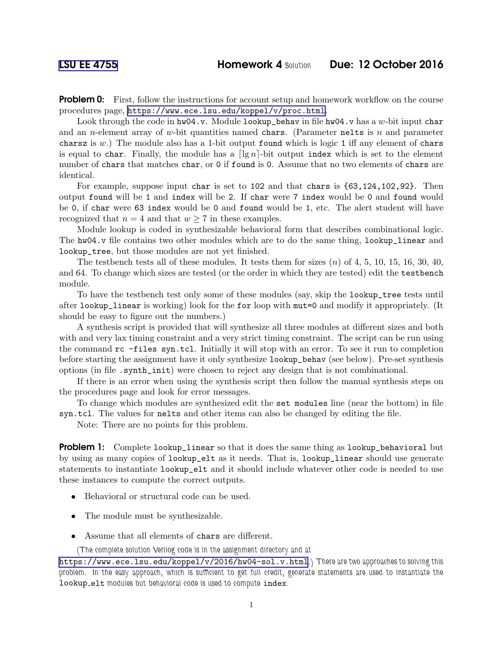**Problem 0:** First, follow the instructions for account setup and homework workflow on the course procedures page, <https://www.ece.lsu.edu/koppel/v/proc.html>.

Look through the code in  $hw04.v.$  Module lookup\_behav in file  $hw04.v$  has a w-bit input char and an *n*-element array of w-bit quantities named chars. (Parameter nelts is n and parameter chars is w.) The module also has a 1-bit output found which is logic 1 iff any element of chars is equal to char. Finally, the module has a  $\lceil \lg n \rceil$ -bit output index which is set to the element number of chars that matches char, or 0 if found is 0. Assume that no two elements of chars are identical.

For example, suppose input char is set to 102 and that chars is {63,124,102,92}. Then output found will be 1 and index will be 2. If char were 7 index would be 0 and found would be 0, if char were 63 index would be 0 and found would be 1, etc. The alert student will have recognized that  $n = 4$  and that  $w \ge 7$  in these examples.

Module lookup is coded in synthesizable behavioral form that describes combinational logic. The hw04.v file contains two other modules which are to do the same thing, lookup\_linear and lookup\_tree, but those modules are not yet finished.

The testbench tests all of these modules. It tests them for sizes  $(n)$  of 4, 5, 10, 15, 16, 30, 40, and 64. To change which sizes are tested (or the order in which they are tested) edit the testbench module.

To have the testbench test only some of these modules (say, skip the lookup\_tree tests until after lookup\_linear is working) look for the for loop with mut=0 and modify it appropriately. (It should be easy to figure out the numbers.)

A synthesis script is provided that will synthesize all three modules at different sizes and both with and very lax timing constraint and a very strict timing constraint. The script can be run using the command rc -files syn.tcl. Initially it will stop with an error. To see it run to completion before starting the assignment have it only synthesize lookup\_behav (see below). Pre-set synthesis options (in file .synth\_init) were chosen to reject any design that is not combinational.

If there is an error when using the synthesis script then follow the manual synthesis steps on the procedures page and look for error messages.

To change which modules are synthesized edit the set modules line (near the bottom) in file syn.tcl. The values for nelts and other items can also be changed by editing the file.

Note: There are no points for this problem.

**Problem 1:** Complete lookup\_linear so that it does the same thing as lookup\_behavioral but by using as many copies of lookup\_elt as it needs. That is, lookup\_linear should use generate statements to instantiate lookup\_elt and it should include whatever other code is needed to use these instances to compute the correct outputs.

- Behavioral or structural code can be used.
- The module must be synthesizable.
- Assume that all elements of chars are different.

(The complete solution Verilog code is in the assignment directory and at

<https://www.ece.lsu.edu/koppel/v/2016/hw04-sol.v.html>.) There are two approaches to solving this problem. In the easy approach, which is sufficient to get full credit, generate statements are used to instantiate the lookup elt modules but behavioral code is used to compute index.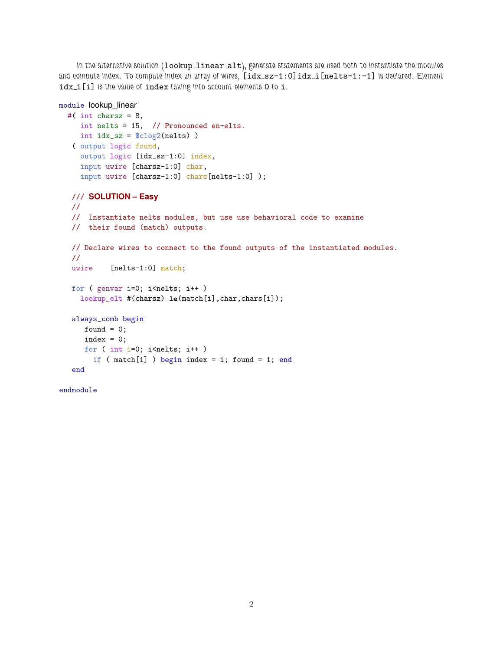In the alternative solution (lookup\_linear\_alt), generate statements are used both to instantiate the modules and compute index. To compute index an array of wires, [idx\_sz-1:0]idx\_i[nelts-1:-1] is declared. Element idx<sub>i</sub>[i] is the value of index taking into account elements 0 to i.

```
module lookup_linear
  #( int charsz = 8,
     int nelts = 15, // Pronounced en-elts.
    int idx_sz = $clog2(nelts) )
   ( output logic found,
     output logic [idx_sz-1:0] index,
     input uwire [charsz-1:0] char,
    input uwire [charsz-1:0] chars[nelts-1:0] );
   /// SOLUTION – Easy
  //
   // Instantiate nelts modules, but use use behavioral code to examine
  // their found (match) outputs.
   // Declare wires to connect to the found outputs of the instantiated modules.
   //
  uwire [nelts-1:0] match;
   for ( genvar i=0; i<nelts; i++ )
     lookup_elt #(charsz) le(match[i],char,chars[i]);
   always_comb begin
     found = 0;
     index = 0;for ( int i=0; i<nelts; i++ )
       if ( match[i] ) begin index = i; found = 1; end
   end
```
endmodule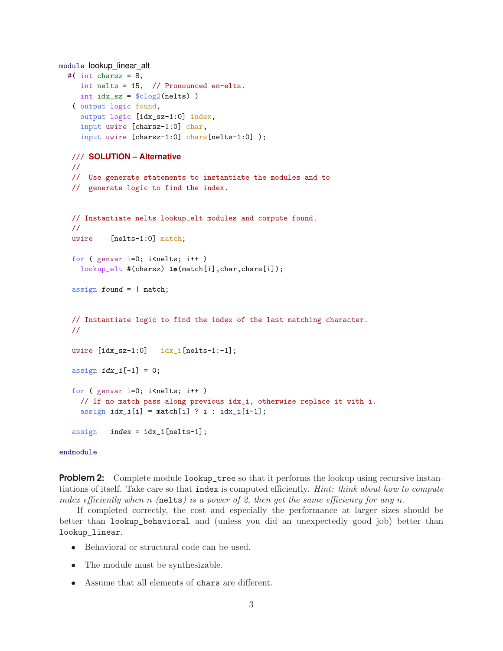```
module lookup_linear_alt
  #( int charsz = 8,
     int nelts = 15, // Pronounced en-elts.
     int idx\_sz = $clog2(nelts) )
   ( output logic found,
     output logic [idx_sz-1:0] index,
     input uwire [charsz-1:0] char,
     input uwire [charsz-1:0] chars[nelts-1:0] );
  /// SOLUTION – Alternative
  //
  // Use generate statements to instantiate the modules and to
  // generate logic to find the index.
  // Instantiate nelts lookup_elt modules and compute found.
  //
  uwire [nelts-1:0] match;
  for ( genvar i=0; i <nelts; i++ )
     lookup_elt #(charsz) le(match[i],char,chars[i]);
  assign found = | match;
  // Instantiate logic to find the index of the last matching character.
  //
  uwire [idx_sz-1:0] idx_i[nelts-1:-1];assign idx_i[-1] = 0;for ( genvar i=0; i < nelts; i++ )
     // If no match pass along previous idx_i, otherwise replace it with i.
     assign idx_i[i] = match[i] ? i : idx_i[i-1];assign \text{index} = idx_i[nelts-1];
```
## endmodule

**Problem 2:** Complete module  $\text{lookup\_tree}$  so that it performs the lookup using recursive instantiations of itself. Take care so that index is computed efficiently. *Hint: think about how to compute* index efficiently when n (nelts) is a power of 2, then get the same efficiency for any n.

If completed correctly, the cost and especially the performance at larger sizes should be better than lookup\_behavioral and (unless you did an unexpectedly good job) better than lookup\_linear.

- Behavioral or structural code can be used.
- The module must be synthesizable.
- Assume that all elements of chars are different.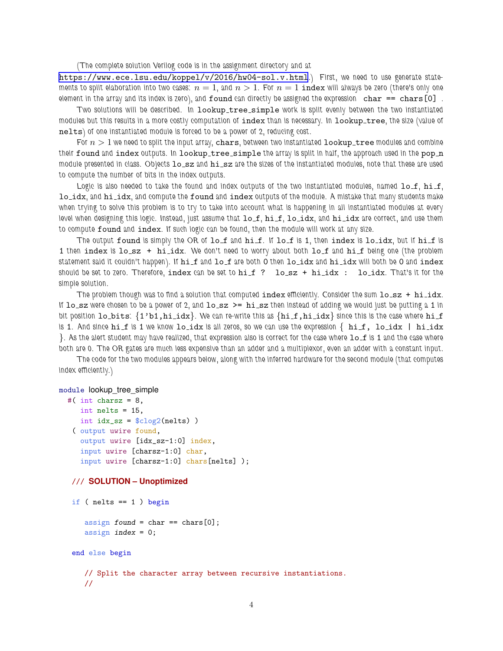(The complete solution Verilog code is in the assignment directory and at

<https://www.ece.lsu.edu/koppel/v/2016/hw04-sol.v.html>.) First, we need to use generate statements to split elaboration into two cases:  $n = 1$ , and  $n > 1$ . For  $n = 1$  index will always be zero (there's only one element in the array and its index is zero), and found can directly be assigned the expression char  $==$  chars  $[0]$ .

Two solutions will be described. In lookup\_tree\_simple work is split evenly between the two instantiated modules but this results in a more costly computation of index than is necessary. In lookup\_tree, the size (value of nelts) of one instantiated module is forced to be a power of 2, reducing cost.

For  $n > 1$  we need to split the input array, chars, between two instantiated lookup\_tree modules and combine their found and index outputs. In lookup\_tree\_simple the array is split in half, the approach used in the pop\_n module presented in class. Objects  $1o\_sz$  and  $h \text{ i\_sz}$  are the sizes of the instantiated modules, note that these are used to compute the number of bits in the index outputs.

Logic is also needed to take the found and index outputs of the two instantiated modules, named  $1o\_f$ ,  $hi\_f$ , lo\_idx, and hi\_idx, and compute the found and index outputs of the module. A mistake that many students make when trying to solve this problem is to try to take into account what is happening in all instantiated modules at every level when designing this logic. Instead, just assume that  $lo_f$ ,  $hi_f$ ,  $lo_idx$ , and  $hi_idx$  are correct, and use them to compute found and index. If such logic can be found, then the module will work at any size.

The output found is simply the OR of lo\_f and hi\_f. If lo\_f is 1, then index is lo\_idx, but if hi\_f is 1 then index is lo\_sz + hi\_idx. We don't need to worry about both lo\_f and hi\_f being one (the problem statement said it couldn't happen). If  $h$ i f and  $l$ o f are both 0 then  $l$ o idx and  $h$ i idx will both be 0 and index should be set to zero. Therefore, index can be set to  $hif$  ?  $logz + hif dx$  :  $log_idx$ . That's it for the simple solution.

The problem though was to find a solution that computed index efficiently. Consider the sum  $\log z + \hbox{hi}_\text{idx}$ . If  $\log$  s were chosen to be a power of 2, and  $\log z$   $\ge$   $\log z$  then instead of adding we would just be putting a 1 in bit position  $1o\_bits$ :  $\{1'b1,hi\_idx\}$ . We can re-write this as  $\{hi\_f,hi\_idx\}$  since this is the case where  $hi\_f$ is 1. And since  $\text{hi}\_f$  is 1 we know  $\text{lo}\_idx$  is all zeros, so we can use the expression  $\{$   $\text{hi}\_f$ ,  $\text{lo}\_idx$   $|$   $\text{hi}\_idx$  $\}$ . As the alert student may have realized, that expression also is correct for the case where  $1 \circ f$  is 1 and the case where both are 0. The OR gates are much less expensive than an adder and a multiplexor, even an adder with a constant input.

The code for the two modules appears below, along with the inferred hardware for the second module (that computes index efficiently.)

## module lookup\_tree\_simple

```
#( int charsz = 8,
  int nelts = 15,
  int idx\_sz = $clog2(nelts) )
 ( output uwire found,
  output uwire [idx_sz-1:0] index,
   input uwire [charsz-1:0] char,
   input uwire [charsz-1:0] chars[nelts] );
/// SOLUTION – Unoptimized
if ( nelts == 1 ) begin
    assign found = char == chars[0];
    assign index = 0;
 end else begin
    // Split the character array between recursive instantiations.
    //
```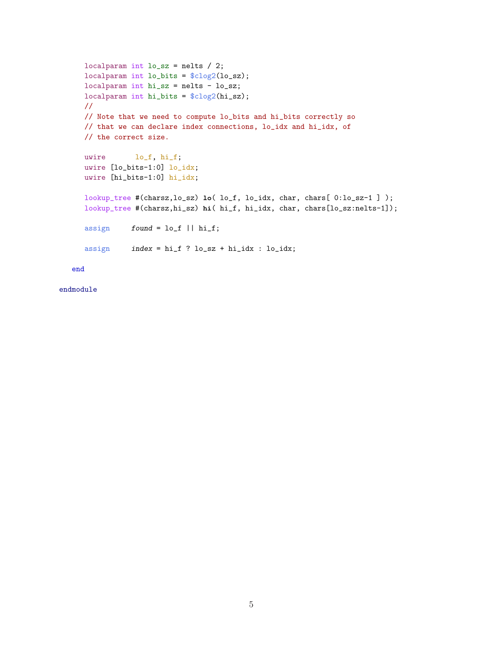```
localparam int lo_sz = nelts / 2;
localparam int lo_bits = $clog2(lo_sz);
localparam int hi_sz = nelts - lo_sz;
localparam int hi_bits = $clog2(hi_sz);
//
// Note that we need to compute lo_bits and hi_bits correctly so
// that we can declare index connections, lo_idx and hi_idx, of
// the correct size.
uwire lo_f, hi_f;
uwire [lo_bits-1:0] lo_idx;
uwire [hi_bits-1:0] hi_idx;
lookup_tree #(charsz,lo_sz) lo( lo_f, lo_idx, char, chars[ 0:lo_sz-1 ] );
lookup_tree #(charsz,hi_sz) hi( hi_f, hi_idx, char, chars[lo_sz:nelts-1]);
assign found = lo_f || hi_f;assign index = hi_f ? lo_sz + hi_idx : lo_idx;
```
end

endmodule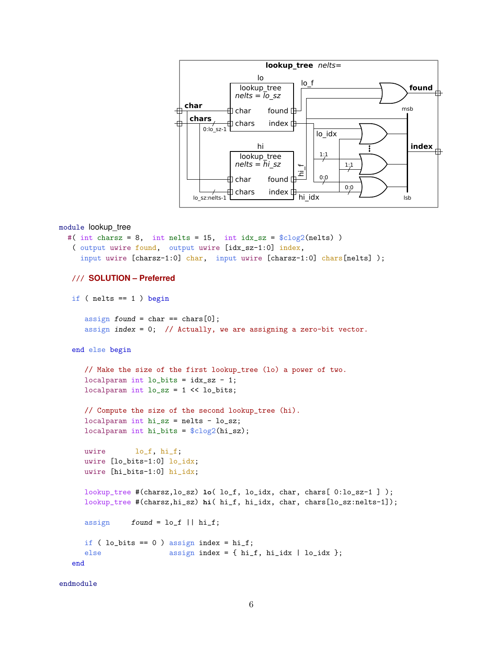

```
module lookup_tree
```

```
#( int charsz = 8, int nelts = 15, int idx_sz = \frac{\text{clog2}(n \text{ in}}{\text{clog2}}))
 ( output uwire found, output uwire [idx_sz-1:0] index,
   input uwire [{\text{chars}}-1:0] {\text{char}}, input uwire [{\text{chars}}-1:0] {\text{chars}}[{\text{nelts}}]);
/// SOLUTION – Preferred
if ( nelts == 1 ) begin
    assign found = char == chars[0];
    assign index = 0; // Actually, we are assigning a zero-bit vector.
 end else begin
    // Make the size of the first lookup_tree (lo) a power of two.
    localparam int lo\_bits = idx\_sz - 1;
    localparam int \log z = 1 \ll \log bits;// Compute the size of the second lookup_tree (hi).
    localparam int hi_sz = nelts - lo_sz;
    localparam int hi_bits = $clog2(hi_sz);
    uwire lo_f, hi_f;
    uwire [lo_bits-1:0] lo_idx;
    uwire [hi_bits-1:0] hi_idx;
    lookup_tree #(charsz,lo_sz) lo( lo_f, lo_idx, char, chars[ 0:lo_sz-1 ] );
    lookup_tree #(charsz,hi_sz) hi( hi_f, hi_idx, char, chars[lo_sz:nelts-1]);
    assign found = lo_f || hi_f;if ( lo\_bits == 0 ) assign index = hi_f;
```
else assign index = { hi\_f, hi\_idx | lo\_idx };

end

endmodule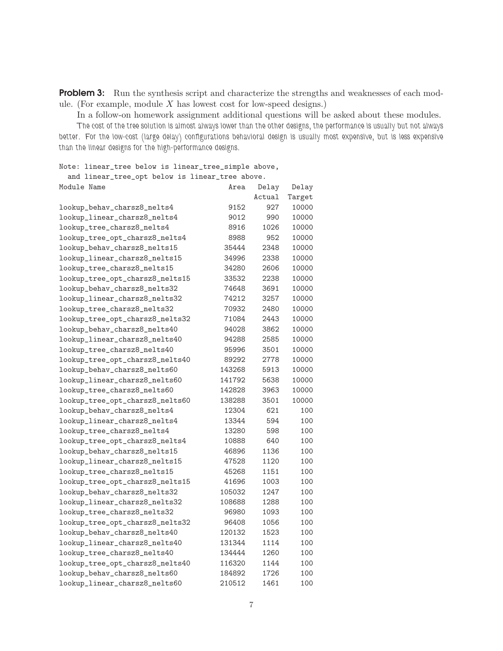**Problem 3:** Run the synthesis script and characterize the strengths and weaknesses of each module. (For example, module  $X$  has lowest cost for low-speed designs.)

In a follow-on homework assignment additional questions will be asked about these modules.

The cost of the tree solution is almost always lower than the other designs, the performance is usually but not always better. For the low-cost (large delay) configurations behavioral design is usually most expensive, but is less expensive than the linear designs for the high-performance designs.

Note: linear\_tree below is linear\_tree\_simple above,

| and linear_tree_opt below is linear_tree above. |        |        |        |
|-------------------------------------------------|--------|--------|--------|
| Module Name                                     | Area   | Delay  | Delay  |
|                                                 |        | Actual | Target |
| lookup_behav_charsz8_nelts4                     | 9152   | 927    | 10000  |
| lookup_linear_charsz8_nelts4                    | 9012   | 990    | 10000  |
| lookup_tree_charsz8_nelts4                      | 8916   | 1026   | 10000  |
| lookup_tree_opt_charsz8_nelts4                  | 8988   | 952    | 10000  |
| lookup_behav_charsz8_nelts15                    | 35444  | 2348   | 10000  |
| lookup_linear_charsz8_nelts15                   | 34996  | 2338   | 10000  |
| lookup_tree_charsz8_nelts15                     | 34280  | 2606   | 10000  |
| lookup_tree_opt_charsz8_nelts15                 | 33532  | 2238   | 10000  |
| lookup_behav_charsz8_nelts32                    | 74648  | 3691   | 10000  |
| lookup_linear_charsz8_nelts32                   | 74212  | 3257   | 10000  |
| lookup_tree_charsz8_nelts32                     | 70932  | 2480   | 10000  |
| lookup_tree_opt_charsz8_nelts32                 | 71084  | 2443   | 10000  |
| lookup_behav_charsz8_nelts40                    | 94028  | 3862   | 10000  |
| lookup_linear_charsz8_nelts40                   | 94288  | 2585   | 10000  |
| lookup_tree_charsz8_nelts40                     | 95996  | 3501   | 10000  |
| lookup_tree_opt_charsz8_nelts40                 | 89292  | 2778   | 10000  |
| lookup_behav_charsz8_nelts60                    | 143268 | 5913   | 10000  |
| lookup_linear_charsz8_nelts60                   | 141792 | 5638   | 10000  |
| lookup_tree_charsz8_nelts60                     | 142828 | 3963   | 10000  |
| lookup_tree_opt_charsz8_nelts60                 | 138288 | 3501   | 10000  |
| lookup_behav_charsz8_nelts4                     | 12304  | 621    | 100    |
| lookup_linear_charsz8_nelts4                    | 13344  | 594    | 100    |
| lookup_tree_charsz8_nelts4                      | 13280  | 598    | 100    |
| lookup_tree_opt_charsz8_nelts4                  | 10888  | 640    | 100    |
| lookup_behav_charsz8_nelts15                    | 46896  | 1136   | 100    |
| lookup_linear_charsz8_nelts15                   | 47528  | 1120   | 100    |
| lookup_tree_charsz8_nelts15                     | 45268  | 1151   | 100    |
| lookup_tree_opt_charsz8_nelts15                 | 41696  | 1003   | 100    |
| lookup_behav_charsz8_nelts32                    | 105032 | 1247   | 100    |
| lookup_linear_charsz8_nelts32                   | 108688 | 1288   | 100    |
| lookup_tree_charsz8_nelts32                     | 96980  | 1093   | 100    |
| lookup_tree_opt_charsz8_nelts32                 | 96408  | 1056   | 100    |
| lookup_behav_charsz8_nelts40                    | 120132 | 1523   | 100    |
| lookup_linear_charsz8_nelts40                   | 131344 | 1114   | 100    |
| lookup_tree_charsz8_nelts40                     | 134444 | 1260   | 100    |
| lookup_tree_opt_charsz8_nelts40                 | 116320 | 1144   | 100    |
| lookup_behav_charsz8_nelts60                    | 184892 | 1726   | 100    |
| lookup_linear_charsz8_nelts60                   | 210512 | 1461   | 100    |